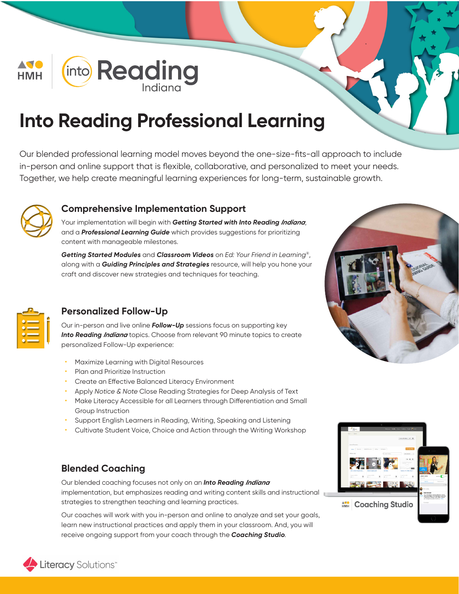

# **Into Reading Professional Learning**

Our blended professional learning model moves beyond the one-size-fits-all approach to include in-person and online support that is flexible, collaborative, and personalized to meet your needs. Together, we help create meaningful learning experiences for long-term, sustainable growth.



#### **Comprehensive Implementation Support**

Your implementation will begin with Getting Started with Into Reading Indiana, and a Professional Learning Guide which provides suggestions for prioritizing content with manageable milestones.

Getting Started Modules and Classroom Videos on Ed: Your Friend in Learning®, along with a Guiding Principles and Strategies resource, will help you hone your craft and discover new strategies and techniques for teaching.



#### **Personalized Follow-Up**

Our in-person and live online **Follow-Up** sessions focus on supporting key Into Reading Indiana topics. Choose from relevant 90 minute topics to create personalized Follow-Up experience:

- Maximize Learning with Digital Resources
- Plan and Prioritize Instruction
- Create an Effective Balanced Literacy Environment
- Apply Notice & Note Close Reading Strategies for Deep Analysis of Text
- Make Literacy Accessible for all Learners through Differentiation and Small Group Instruction
- Support English Learners in Reading, Writing, Speaking and Listening
- Cultivate Student Voice, Choice and Action through the Writing Workshop

#### **Blended Coaching**

Our blended coaching focuses not only on an Into Reading Indiana implementation, but emphasizes reading and writing content skills and instructional strategies to strengthen teaching and learning practices.

Our coaches will work with you in-person and online to analyze and set your goals, learn new instructional practices and apply them in your classroom. And, you will receive ongoing support from your coach through the Coaching Studio.